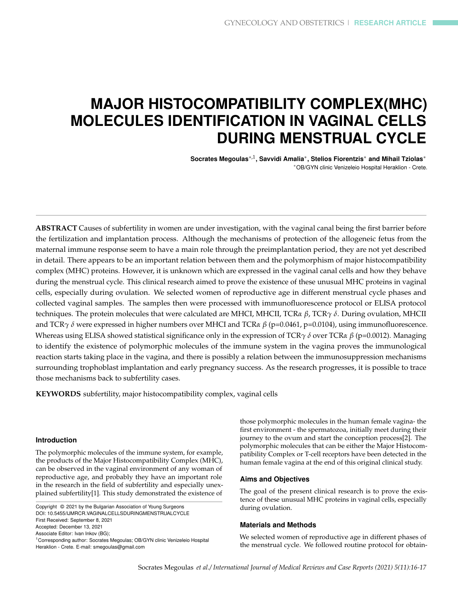# **MAJOR HISTOCOMPATIBILITY COMPLEX(MHC) MOLECULES IDENTIFICATION IN VAGINAL CELLS DURING MENSTRUAL CYCLE**

**Socrates Megoulas**∗,1 **, Savvidi Amalia**<sup>∗</sup> **, Stelios Fiorentzis**<sup>∗</sup> **and Mihail Tziolas**<sup>∗</sup> <sup>∗</sup>OB/GYN clinic Venizeleio Hospital Heraklion - Crete.

**ABSTRACT** Causes of subfertility in women are under investigation, with the vaginal canal being the first barrier before the fertilization and implantation process. Although the mechanisms of protection of the allogeneic fetus from the maternal immune response seem to have a main role through the preimplantation period, they are not yet described in detail. There appears to be an important relation between them and the polymorphism of major histocompatibility complex (MHC) proteins. However, it is unknown which are expressed in the vaginal canal cells and how they behave during the menstrual cycle. This clinical research aimed to prove the existence of these unusual MHC proteins in vaginal cells, especially during ovulation. We selected women of reproductive age in different menstrual cycle phases and collected vaginal samples. The samples then were processed with immunofluorescence protocol or ELISA protocol techniques. The protein molecules that were calculated are MHCI, MHCII, TCR*α β*, TCR*γ δ*. During ovulation, MHCII and TCR*γ δ* were expressed in higher numbers over MHCI and TCR*α β* (p=0.0461, p=0.0104), using immunofluorescence. Whereas using ELISA showed statistical significance only in the expression of TCR*γ δ* over TCR*α β* (p=0.0012). Managing to identify the existence of polymorphic molecules of the immune system in the vagina proves the immunological reaction starts taking place in the vagina, and there is possibly a relation between the immunosuppression mechanisms surrounding trophoblast implantation and early pregnancy success. As the research progresses, it is possible to trace those mechanisms back to subfertility cases.

**KEYWORDS** subfertility, major histocompatibility complex, vaginal cells

#### **Introduction**

The polymorphic molecules of the immune system, for example, the products of the Major Histocompatibility Complex (MHC), can be observed in the vaginal environment of any woman of reproductive age, and probably they have an important role in the research in the field of subfertility and especially unexplained subfertility[1]. This study demonstrated the existence of

Copyright © 2021 by the Bulgarian Association of Young Surgeons DOI: 10.5455/IJMRCR.VAGINALCELLSDURINGMENSTRUALCYCLE First Received: September 8, 2021 Accepted: December 13, 2021 Associate Editor: Ivan Inkov (BG); <sup>1</sup> Corresponding author: Socrates Megoulas; OB/GYN clinic Venizeleio Hospital Heraklion - Crete. E-mail: smegoulas@gmail.com

those polymorphic molecules in the human female vagina- the first environment - the spermatozoa, initially meet during their journey to the ovum and start the conception process[2]. The polymorphic molecules that can be either the Major Histocompatibility Complex or T-cell receptors have been detected in the human female vagina at the end of this original clinical study.

#### **Aims and Objectives**

The goal of the present clinical research is to prove the existence of these unusual MHC proteins in vaginal cells, especially during ovulation.

#### **Materials and Methods**

We selected women of reproductive age in different phases of the menstrual cycle. We followed routine protocol for obtain